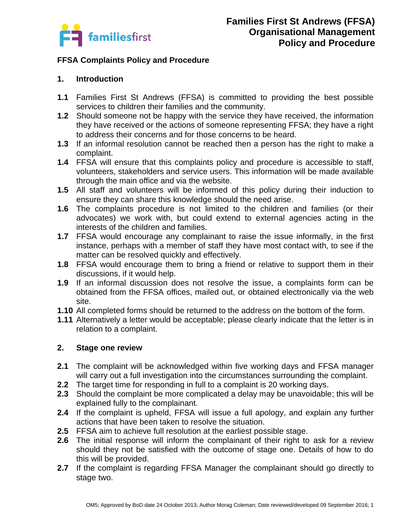

## **FFSA Complaints Policy and Procedure**

#### **1. Introduction**

- **1.1** Families First St Andrews (FFSA) is committed to providing the best possible services to children their families and the community.
- **1.2** Should someone not be happy with the service they have received, the information they have received or the actions of someone representing FFSA; they have a right to address their concerns and for those concerns to be heard.
- **1.3** If an informal resolution cannot be reached then a person has the right to make a complaint.
- **1.4** FFSA will ensure that this complaints policy and procedure is accessible to staff, volunteers, stakeholders and service users. This information will be made available through the main office and via the website.
- **1.5** All staff and volunteers will be informed of this policy during their induction to ensure they can share this knowledge should the need arise.
- **1.6** The complaints procedure is not limited to the children and families (or their advocates) we work with, but could extend to external agencies acting in the interests of the children and families.
- **1.7** FFSA would encourage any complainant to raise the issue informally, in the first instance, perhaps with a member of staff they have most contact with, to see if the matter can be resolved quickly and effectively.
- **1.8** FFSA would encourage them to bring a friend or relative to support them in their discussions, if it would help.
- **1.9** If an informal discussion does not resolve the issue, a complaints form can be obtained from the FFSA offices, mailed out, or obtained electronically via the web site.
- **1.10** All completed forms should be returned to the address on the bottom of the form.
- **1.11** Alternatively a letter would be acceptable; please clearly indicate that the letter is in relation to a complaint.

### **2. Stage one review**

- **2.1** The complaint will be acknowledged within five working days and FFSA manager will carry out a full investigation into the circumstances surrounding the complaint.
- **2.2** The target time for responding in full to a complaint is 20 working days.
- **2.3** Should the complaint be more complicated a delay may be unavoidable; this will be explained fully to the complainant.
- **2.4** If the complaint is upheld, FFSA will issue a full apology, and explain any further actions that have been taken to resolve the situation.
- **2.5** FFSA aim to achieve full resolution at the earliest possible stage.
- **2.6** The initial response will inform the complainant of their right to ask for a review should they not be satisfied with the outcome of stage one. Details of how to do this will be provided.
- **2.7** If the complaint is regarding FFSA Manager the complainant should go directly to stage two.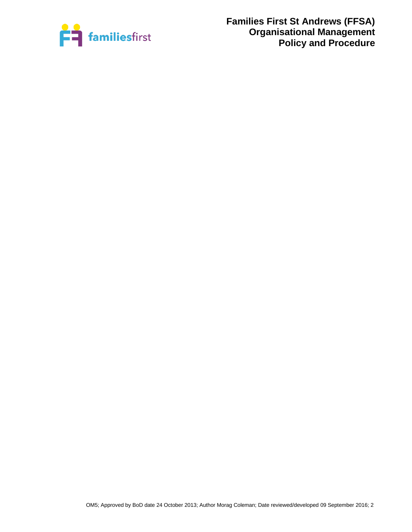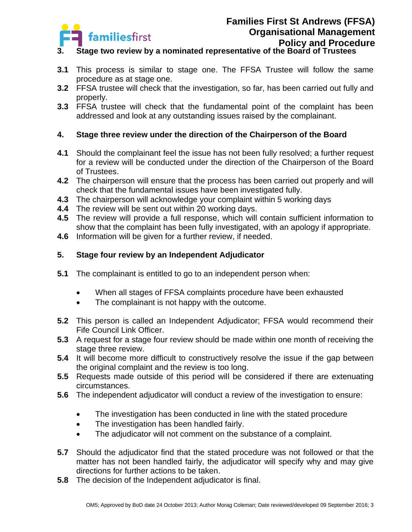

# **Families First St Andrews (FFSA) Organisational Management Policy and Procedure**

**3. Stage two review by a nominated representative of the Board of Trustees**

- **3.1** This process is similar to stage one. The FFSA Trustee will follow the same procedure as at stage one.
- **3.2** FFSA trustee will check that the investigation, so far, has been carried out fully and properly.
- **3.3** FFSA trustee will check that the fundamental point of the complaint has been addressed and look at any outstanding issues raised by the complainant.

## **4. Stage three review under the direction of the Chairperson of the Board**

- **4.1** Should the complainant feel the issue has not been fully resolved; a further request for a review will be conducted under the direction of the Chairperson of the Board of Trustees.
- **4.2** The chairperson will ensure that the process has been carried out properly and will check that the fundamental issues have been investigated fully.
- **4.3** The chairperson will acknowledge your complaint within 5 working days
- **4.4** The review will be sent out within 20 working days.
- **4.5** The review will provide a full response, which will contain sufficient information to show that the complaint has been fully investigated, with an apology if appropriate.
- **4.6** Information will be given for a further review, if needed.

## **5. Stage four review by an Independent Adjudicator**

- **5.1** The complainant is entitled to go to an independent person when:
	- When all stages of FFSA complaints procedure have been exhausted
	- The complainant is not happy with the outcome.
- **5.2** This person is called an Independent Adjudicator; FFSA would recommend their Fife Council Link Officer.
- **5.3** A request for a stage four review should be made within one month of receiving the stage three review.
- **5.4** It will become more difficult to constructively resolve the issue if the gap between the original complaint and the review is too long.
- **5.5** Requests made outside of this period will be considered if there are extenuating circumstances.
- **5.6** The independent adjudicator will conduct a review of the investigation to ensure:
	- The investigation has been conducted in line with the stated procedure
	- The investigation has been handled fairly.
	- The adjudicator will not comment on the substance of a complaint.
- **5.7** Should the adjudicator find that the stated procedure was not followed or that the matter has not been handled fairly, the adjudicator will specify why and may give directions for further actions to be taken.
- **5.8** The decision of the Independent adjudicator is final.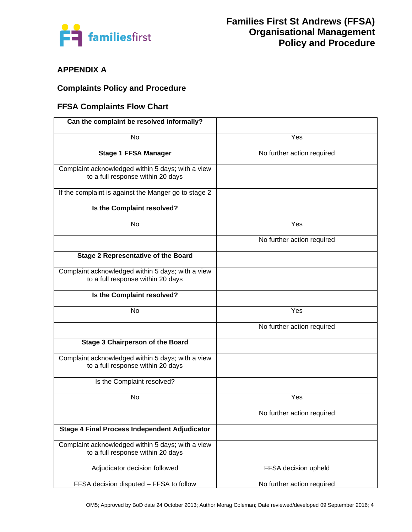

## **APPENDIX A**

#### **Complaints Policy and Procedure**

### **FFSA Complaints Flow Chart**

| Can the complaint be resolved informally?                                              |                            |
|----------------------------------------------------------------------------------------|----------------------------|
| <b>No</b>                                                                              | Yes                        |
| <b>Stage 1 FFSA Manager</b>                                                            | No further action required |
| Complaint acknowledged within 5 days; with a view<br>to a full response within 20 days |                            |
| If the complaint is against the Manger go to stage 2                                   |                            |
| Is the Complaint resolved?                                                             |                            |
| No.                                                                                    | Yes                        |
|                                                                                        | No further action required |
| <b>Stage 2 Representative of the Board</b>                                             |                            |
| Complaint acknowledged within 5 days; with a view<br>to a full response within 20 days |                            |
| Is the Complaint resolved?                                                             |                            |
| <b>No</b>                                                                              | Yes                        |
|                                                                                        | No further action required |
| <b>Stage 3 Chairperson of the Board</b>                                                |                            |
| Complaint acknowledged within 5 days; with a view<br>to a full response within 20 days |                            |
| Is the Complaint resolved?                                                             |                            |
| No.                                                                                    | Yes                        |
|                                                                                        | No further action required |
| Stage 4 Final Process Independent Adjudicator                                          |                            |
| Complaint acknowledged within 5 days; with a view<br>to a full response within 20 days |                            |
| Adjudicator decision followed                                                          | FFSA decision upheld       |
| FFSA decision disputed - FFSA to follow                                                | No further action required |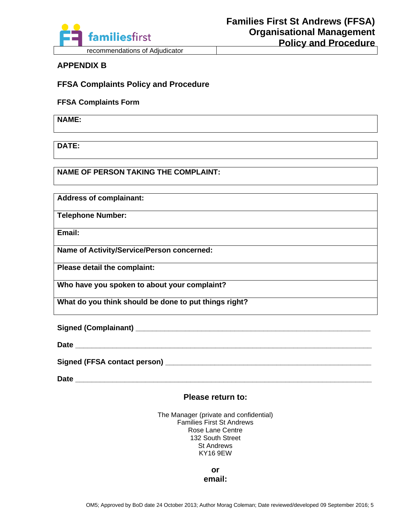

#### **APPENDIX B**

#### **FFSA Complaints Policy and Procedure**

#### **FFSA Complaints Form**

**NAME:**

**DATE:** 

**NAME OF PERSON TAKING THE COMPLAINT:**

**Address of complainant:**

**Telephone Number:**

**Email:**

**Name of Activity/Service/Person concerned:**

**Please detail the complaint:**

**Who have you spoken to about your complaint?**

**What do you think should be done to put things right?**

**Signed (Complainant) \_\_\_\_\_\_\_\_\_\_\_\_\_\_\_\_\_\_\_\_\_\_\_\_\_\_\_\_\_\_\_\_\_\_\_\_\_\_\_\_\_\_\_\_\_\_\_\_\_\_\_\_\_\_\_\_\_**

Date **Date** 

**Signed (FFSA contact person) \_\_\_\_\_\_\_\_\_\_\_\_\_\_\_\_\_\_\_\_\_\_\_\_\_\_\_\_\_\_\_\_\_\_\_\_\_\_\_\_\_\_\_\_\_\_\_\_\_\_**

**Date \_\_\_\_\_\_\_\_\_\_\_\_\_\_\_\_\_\_\_\_\_\_\_\_\_\_\_\_\_\_\_\_\_\_\_\_\_\_\_\_\_\_\_\_\_\_\_\_\_\_\_\_\_\_\_\_\_\_\_\_\_\_\_\_\_\_\_\_\_\_\_\_**

#### **Please return to:**

The Manager (private and confidential) Families First St Andrews Rose Lane Centre 132 South Street St Andrews KY16 9EW

> **or email:**